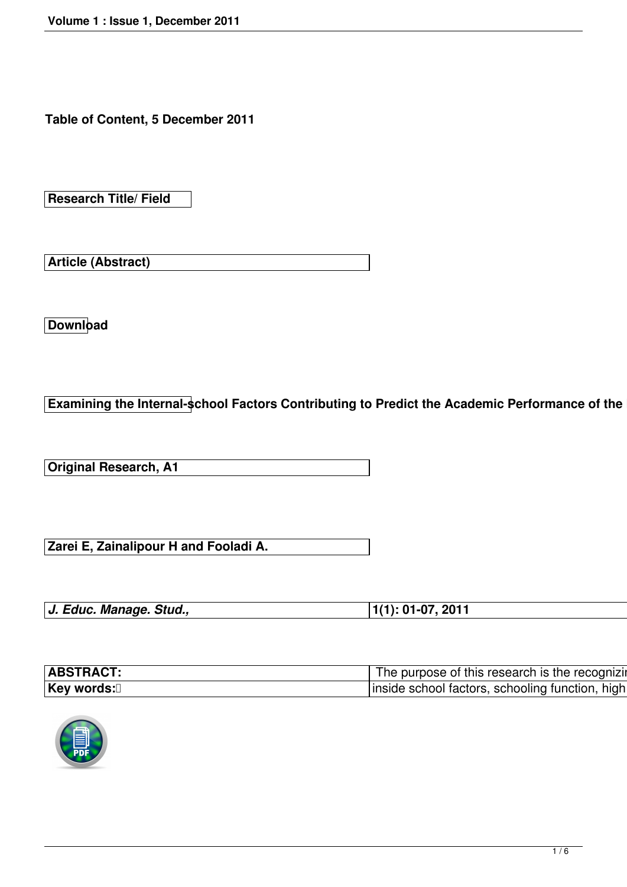**Table of Content, 5 December 2011**

**Research Title/ Field**

**Article (Abstract)**

**Download**

**Examining the Internal-school Factors Contributing to Predict the Academic Performance of the** 

**Original Research, A1**

**Zarei E, Zainalipour H and Fooladi A.**

| J. Educ. Manage. Stud., | $ 1(1): 01-07, 2011$ |
|-------------------------|----------------------|
|                         |                      |

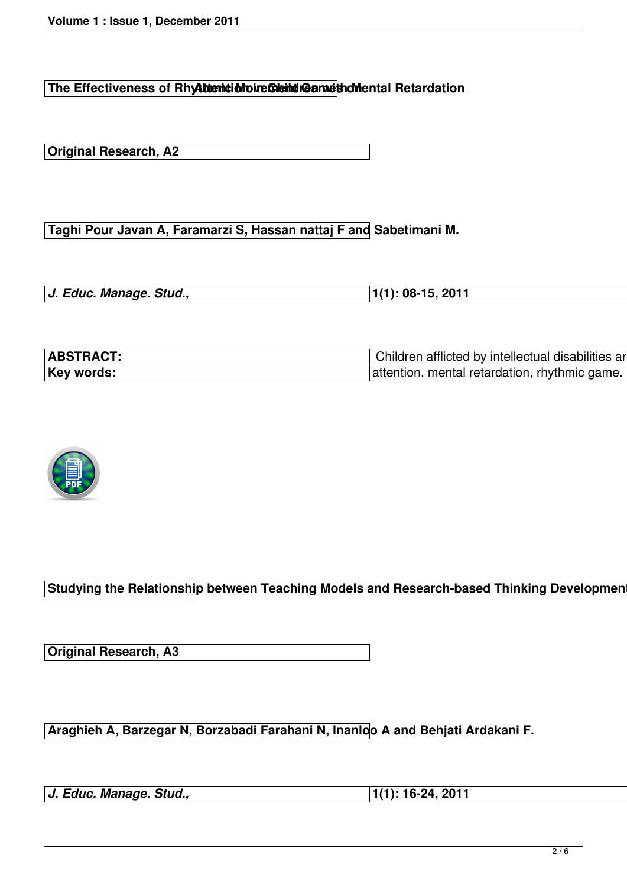**The Effectiveness of Rhythemic Move Cleind Game that Mental Retardation** 

**Original Research, A2**

**Taghi Pour Javan A, Faramarzi S, Hassan nattaj F and Sabetimani M.**

| J. Educ. Manage. Stud., | $ 1(1): 08-15, 2011$ |  |
|-------------------------|----------------------|--|
|-------------------------|----------------------|--|



**Studying the Relationship between Teaching Models and Research-based Thinking Developmen** 

**Original Research, A3**

**Araghieh A, Barzegar N, Borzabadi Farahani N, Inanloo A and Behjati Ardakani F.**

*J. Educ. Manage. Stud.,* **1(1): 16-24, 2011**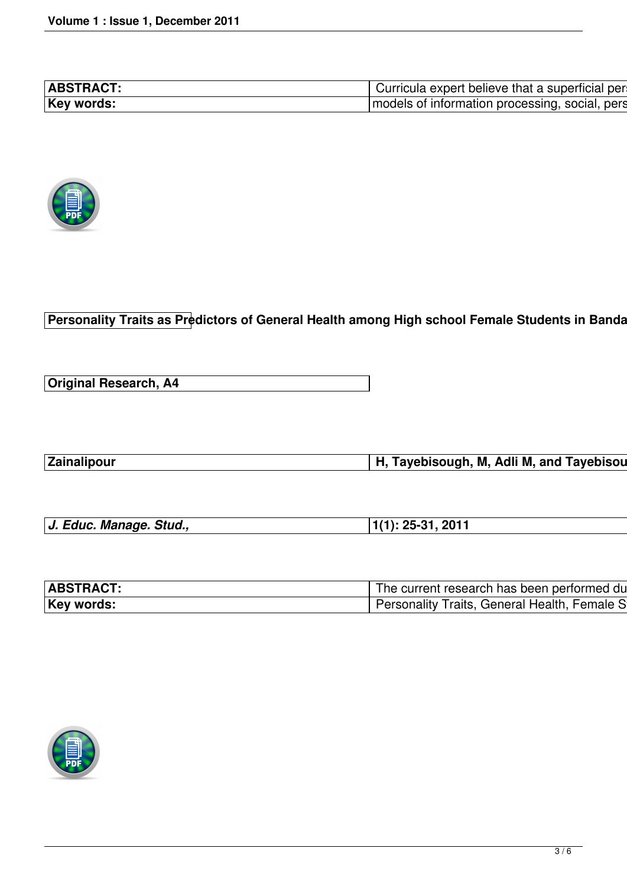

**Personality Traits as Predictors of General Health among High school Female Students in Banda** 

**Original Research, A4**

**Zainalipour H, Tayebisough, M, Adli M, and Tayebisough A.**

| J. Educ. Manage. Stud., | $ 1(1): 25-31, 2011$ |
|-------------------------|----------------------|

| The current research has been performed du |
|--------------------------------------------|
| sonality Traits, General Health, Female S  |

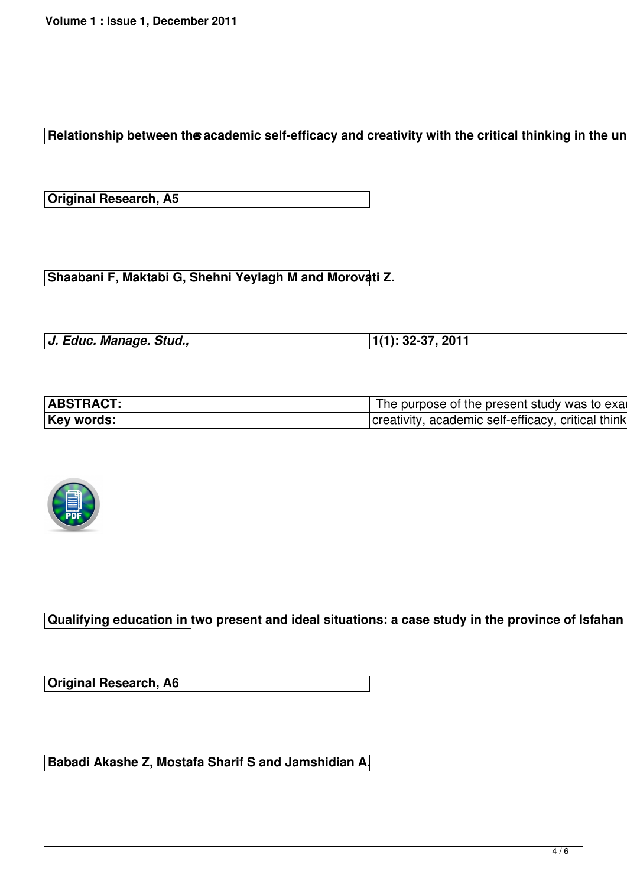**Relationship between the academic self-efficacy and creativity with the critical thinking in the unity** 

**Original Research, A5**

Shaabani F, Maktabi G, Shehni Yeylagh M and Morovati Z.

| J. Educ. Manage. Stud., | $ 1(1): 32-37, 2011$ |
|-------------------------|----------------------|



**Qualifying education in two present and ideal situations: a case study in the province of Isfahan** 

**Original Research, A6**

**Babadi Akashe Z, Mostafa Sharif S and Jamshidian A.**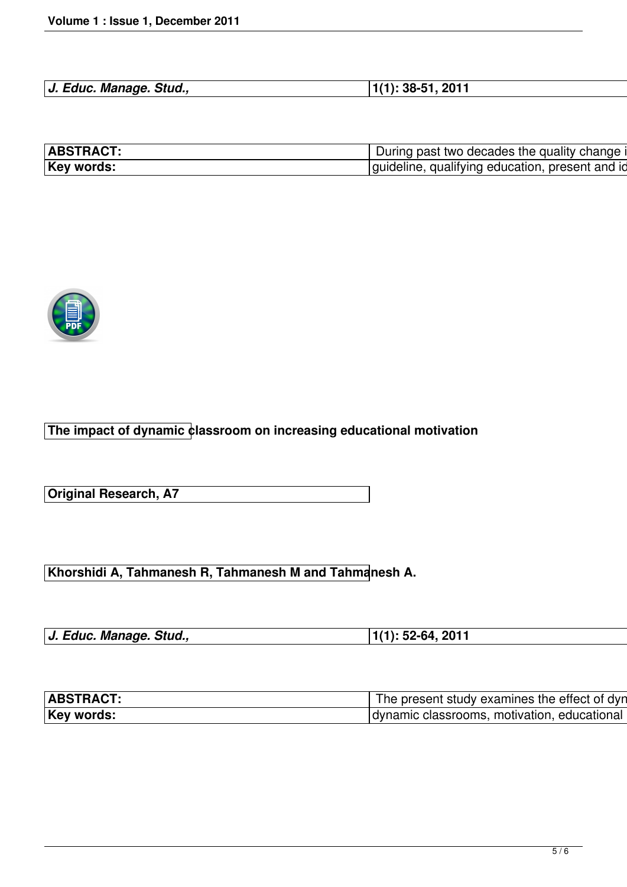| J. Educ. Manage. Stud., | $1(1): 38-51, 2011$ |
|-------------------------|---------------------|



**The impact of dynamic classroom on increasing educational motivation**

**Original Research, A7**

**Khorshidi A, Tahmanesh R, Tahmanesh M and Tahmanesh A.**

| J. Educ. Manage. Stud., | $ 1(1): 52-64, 2011$ |
|-------------------------|----------------------|